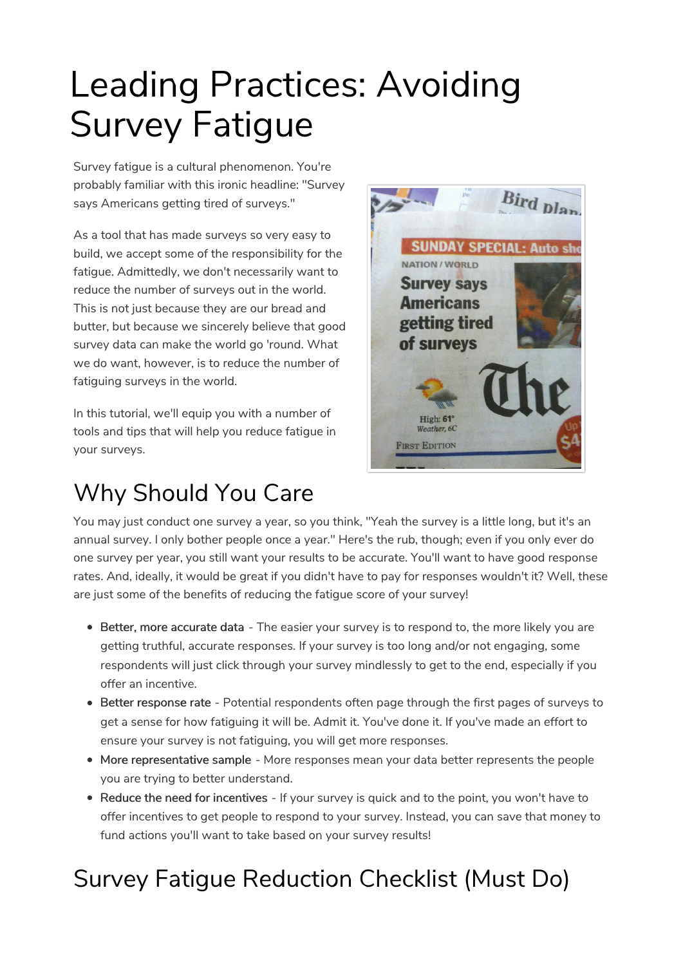# Leading Practices: Avoiding Survey Fatigue

Survey fatigue is a cultural phenomenon. You're probably familiar with this ironic headline: "Survey says Americans getting tired of surveys."

As a tool that has made surveys so very easy to build, we accept some of the responsibility for the fatigue. Admittedly, we don't necessarily want to reduce the number of surveys out in the world. This is not just because they are our bread and butter, but because we sincerely believe that good survey data can make the world go 'round. What we do want, however, is to reduce the number of fatiguing surveys in the world.

In this tutorial, we'll equip you with a number of tools and tips that will help you reduce fatigue in your surveys.

## Why Should You Care



You may just conduct one survey a year, so you think, "Yeah the survey is a little long, but it's an annual survey. I only bother people once a year." Here's the rub, though; even if you only ever do one survey per year, you still want your results to be accurate. You'll want to have good response rates. And, ideally, it would be great if you didn't have to pay for responses wouldn't it? Well, these are just some of the benefits of reducing the fatigue score of your survey!

- **Better, more accurate data** The easier your survey is to respond to, the more likely you are getting truthful, accurate responses. If your survey is too long and/or not engaging, some respondents will just click through your survey mindlessly to get to the end, especially if you offer an incentive.
- Better response rate Potential respondents often page through the first pages of surveys to get a sense for how fatiguing it will be. Admit it. You've done it. If you've made an effort to ensure your survey is not fatiguing, you will get more responses.
- More representative sample More responses mean your data better represents the people you are trying to better understand.
- Reduce the need for incentives If your survey is quick and to the point, you won't have to offer incentives to get people to respond to your survey. Instead, you can save that money to fund actions you'll want to take based on your survey results!

## Survey Fatigue Reduction Checklist (Must Do)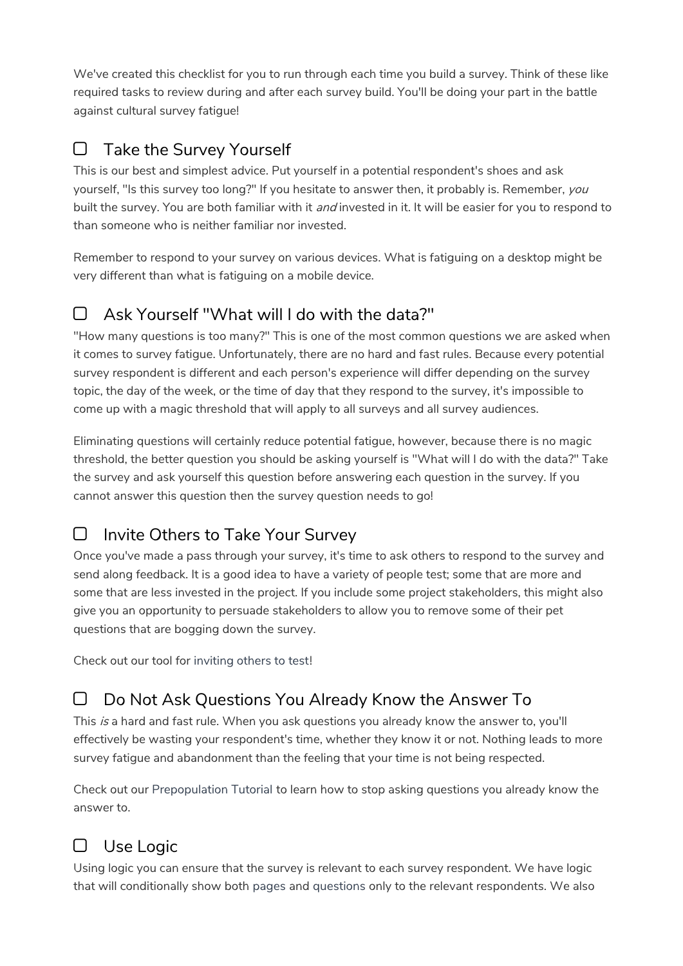We've created this checklist for you to run through each time you build a survey. Think of these like required tasks to review during and after each survey build. You'll be doing your part in the battle against cultural survey fatigue!

### $\Box$  Take the Survey Yourself

This is our best and simplest advice. Put yourself in a potential respondent's shoes and ask yourself, "Is this survey too long?" If you hesitate to answer then, it probably is. Remember, you built the survey. You are both familiar with it *and* invested in it. It will be easier for you to respond to than someone who is neither familiar nor invested.

Remember to respond to your survey on various devices. What is fatiguing on a desktop might be very different than what is fatiguing on a mobile device.

## Ask Yourself "What will I do with the data?"

"How many questions is too many?" This is one of the most common questions we are asked when it comes to survey fatigue. Unfortunately, there are no hard and fast rules. Because every potential survey respondent is different and each person's experience will differ depending on the survey topic, the day of the week, or the time of day that they respond to the survey, it's impossible to come up with a magic threshold that will apply to all surveys and all survey audiences.

Eliminating questions will certainly reduce potential fatigue, however, because there is no magic threshold, the better question you should be asking yourself is "What will I do with the data?" Take the survey and ask yourself this question before answering each question in the survey. If you cannot answer this question then the survey question needs to go!

### Invite Others to Take Your Survey

Once you've made a pass through your survey, it's time to ask others to respond to the survey and send along feedback. It is a good idea to have a variety of people test; some that are more and some that are less invested in the project. If you include some project stakeholders, this might also give you an opportunity to persuade stakeholders to allow you to remove some of their pet questions that are bogging down the survey.

Check out our tool for inviting others to test!

Do Not Ask Questions You Already Know the Answer To

This is a hard and fast rule. When you ask questions you already know the answer to, you'll effectively be wasting your respondent's time, whether they know it or not. Nothing leads to more survey fatigue and abandonment than the feeling that your time is not being respected.

Check out our Prepopulation Tutorial to learn how to stop asking questions you already know the answer to.

## Use Logic

Using logic you can ensure that the survey is relevant to each survey respondent. We have logic that will conditionally show both pages and questions only to the relevant respondents. We also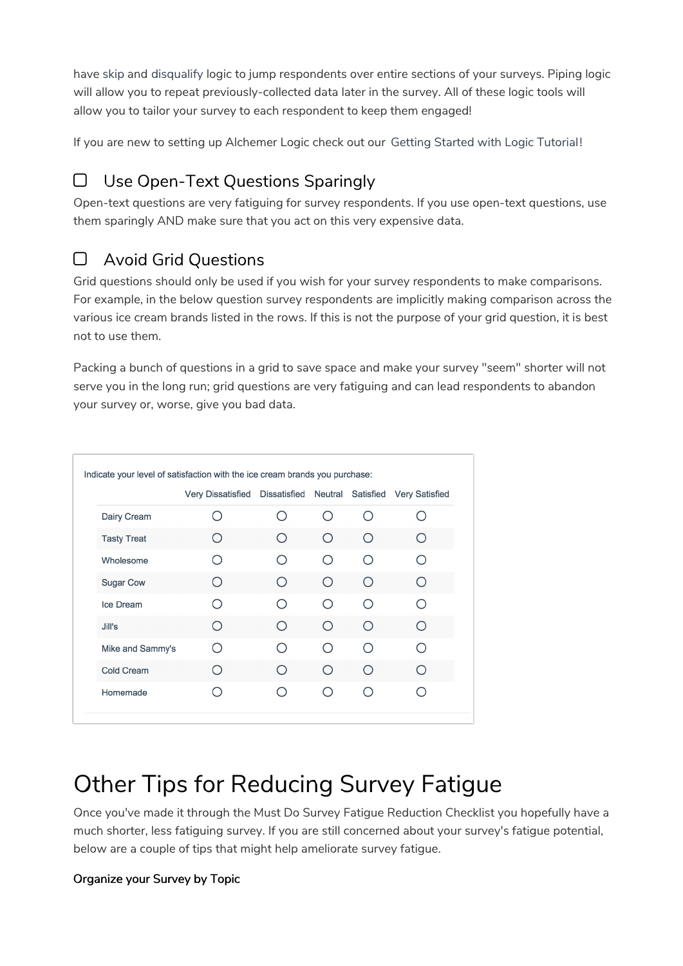have skip and disqualify logic to jump respondents over entire sections of your surveys. Piping logic will allow you to repeat previously-collected data later in the survey. All of these logic tools will allow you to tailor your survey to each respondent to keep them engaged!

If you are new to setting up Alchemer Logic check out our Getting Started with Logic Tutorial!

### $\Box$  Use Open-Text Questions Sparingly

Open-text questions are very fatiguing for survey respondents. If you use open-text questions, use them sparingly AND make sure that you act on this very expensive data.

#### Avoid Grid Questions

Grid questions should only be used if you wish for your survey respondents to make comparisons. For example, in the below question survey respondents are implicitly making comparison across the various ice cream brands listed in the rows. If this is not the purpose of your grid question, it is best not to use them.

Packing a bunch of questions in a grid to save space and make your survey "seem" shorter will not serve you in the long run; grid questions are very fatiguing and can lead respondents to abandon your survey or, worse, give you bad data.

|                    | <b>Very Dissatisfied</b>                      | <b>Dissatisfied</b> | Neutral |           | Satisfied Very Satisfied |
|--------------------|-----------------------------------------------|---------------------|---------|-----------|--------------------------|
| Dairy Cream        |                                               |                     | ∩       | ∩         |                          |
| <b>Tasty Treat</b> | ( )                                           |                     | ∩       | ∩         | ( )                      |
| Wholesome          |                                               |                     | ∩       | ∩         |                          |
| <b>Sugar Cow</b>   | $($ )                                         |                     | ∩       | ∩         | ∩                        |
| Ice Dream          |                                               |                     | ∩       | ∩         |                          |
| Jill's             | $\left( \begin{array}{c} \end{array} \right)$ | Ω                   | ∩       | ∩         |                          |
| Mike and Sammy's   |                                               |                     | ∩       | ∩         |                          |
| <b>Cold Cream</b>  |                                               |                     | ∩       | ∩         | ( )                      |
| Homemade           |                                               |                     | ◯       | $\subset$ |                          |

## Other Tips for Reducing Survey Fatigue

Once you've made it through the Must Do Survey Fatigue Reduction Checklist you hopefully have a much shorter, less fatiguing survey. If you are still concerned about your survey's fatigue potential, below are a couple of tips that might help ameliorate survey fatigue.

#### Organize your Survey by Topic